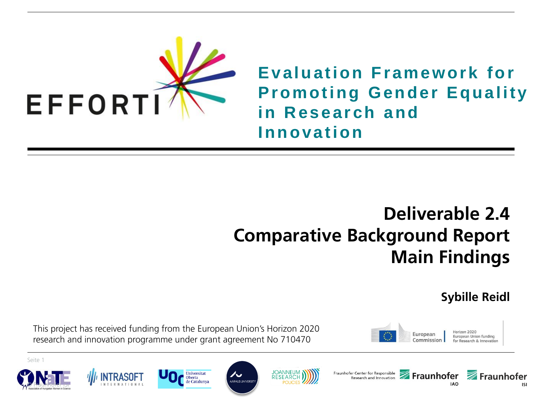

**Evaluation Framework for Promoting Gender Equality in Research and Innovation**

### **Deliverable 2.4 Comparative Background Report Main Findings**

**Sybille Reidl**

This project has received funding from the European Union's Horizon 2020 research and innovation programme under grant agreement No 710470

**Oberta** 

















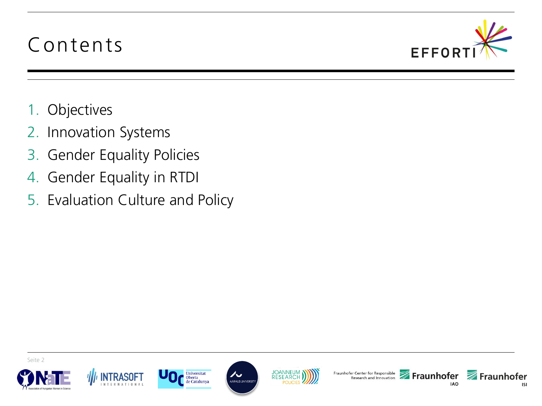### Contents



- 1. Objectives
- 2. Innovation Systems
- 3. Gender Equality Policies
- 4. Gender Equality in RTDI
- 5. Evaluation Culture and Policy









ノー

AARHUS UNIVERSIT





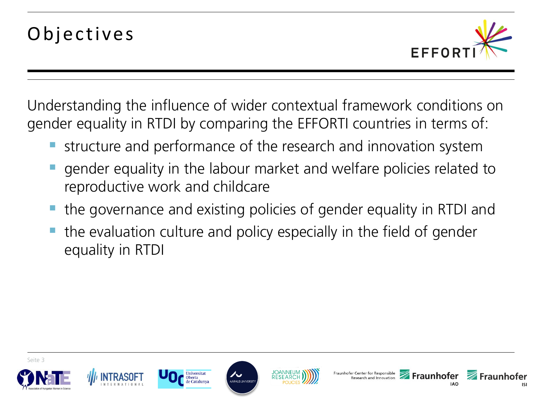

Understanding the influence of wider contextual framework conditions on gender equality in RTDI by comparing the EFFORTI countries in terms of:

- structure and performance of the research and innovation system
- gender equality in the labour market and welfare policies related to reproductive work and childcare
- the governance and existing policies of gender equality in RTDI and
- the evaluation culture and policy especially in the field of gender equality in RTDI









**ARHUS UNIVERS** 





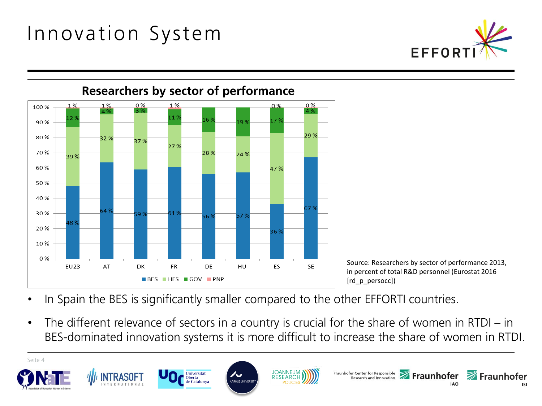### Innovation System





Source: Researchers by sector of performance 2013, in percent of total R&D personnel (Eurostat 2016 [rd p persocc])

- In Spain the BES is significantly smaller compared to the other EFFORTI countries.
- The different relevance of sectors in a country is crucial for the share of women in RTDI in BES-dominated innovation systems it is more difficult to increase the share of women in RTDI.

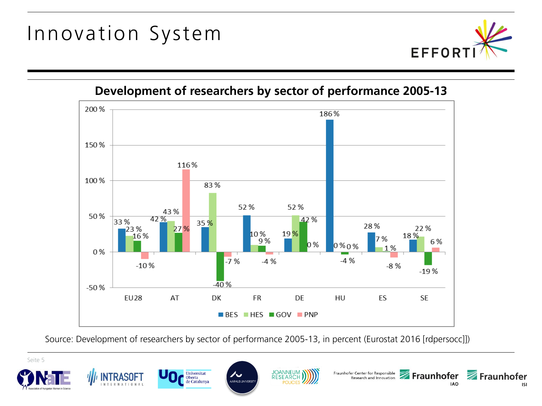Innovation System





Source: Development of researchers by sector of performance 2005-13, in percent (Eurostat 2016 [rdpersocc]])

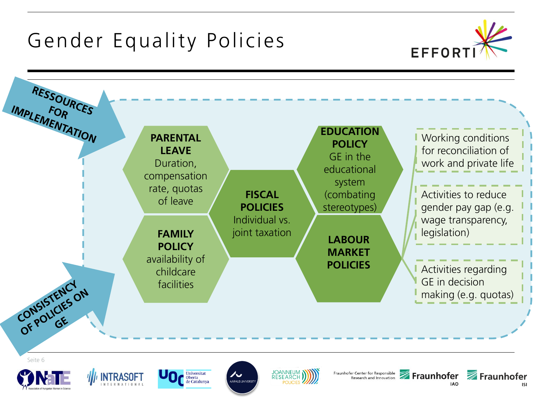

**IAO** 

**ISI**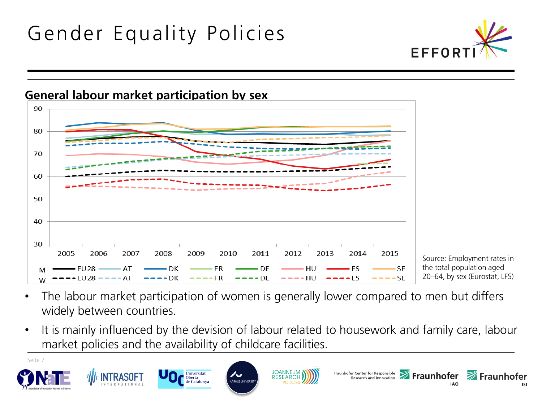



Source: Employment rates in the total population aged 20–64, by sex (Eurostat, LFS)

- The labour market participation of women is generally lower compared to men but differs widely between countries.
- It is mainly influenced by the devision of labour related to housework and family care, labour market policies and the availability of childcare facilities.

Seite 7













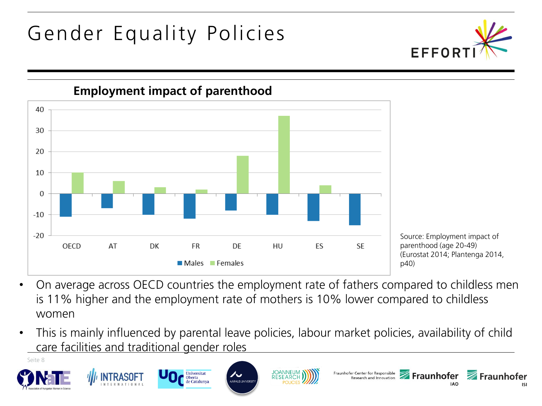



Universitat

**Oberta** de Catalunya

**INTRASOFT** 

Source: Employment impact of parenthood (age 20-49) (Eurostat 2014; Plantenga 2014, p40)

Fraunhofer Center for Responsible<br>Research and Innovation **Fraunhofer Examples** 

**IAO** 

**ISI** 

- On average across OECD countries the employment rate of fathers compared to childless men is 11% higher and the employment rate of mothers is 10% lower compared to childless women
- This is mainly influenced by parental leave policies, labour market policies, availability of child care facilities and traditional gender roles

AARHUS UNIVERSI

**JOANNEUM** 

**RESEARCH** 

Seite 8

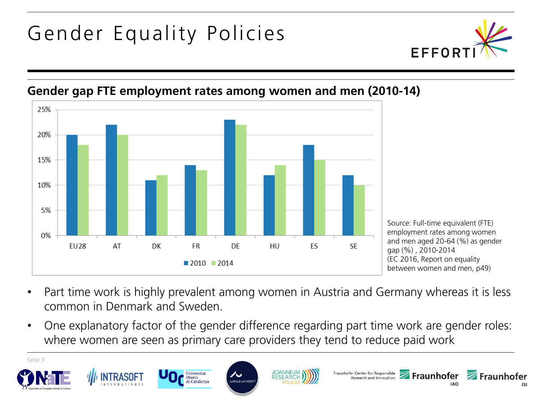



#### **Gender gap FTE employment rates among women and men (2010-14)**

- Part time work is highly prevalent among women in Austria and Germany whereas it is less common in Denmark and Sweden.
- One explanatory factor of the gender difference regarding part time work are gender roles: where women are seen as primary care providers they tend to reduce paid work

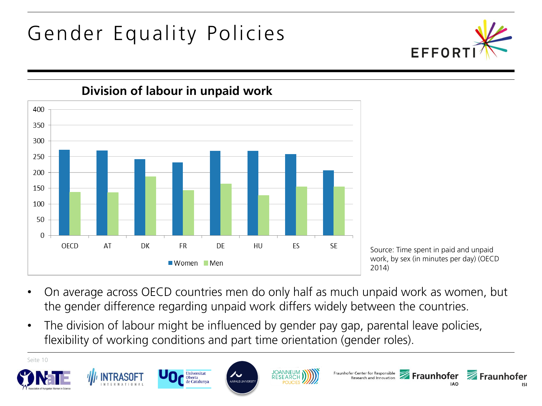



**Division of labour in unpaid work**

Source: Time spent in paid and unpaid work, by sex (in minutes per day) (OECD 2014)

- On average across OECD countries men do only half as much unpaid work as women, but the gender difference regarding unpaid work differs widely between the countries.
- The division of labour might be influenced by gender pay gap, parental leave policies, flexibility of working conditions and part time orientation (gender roles).

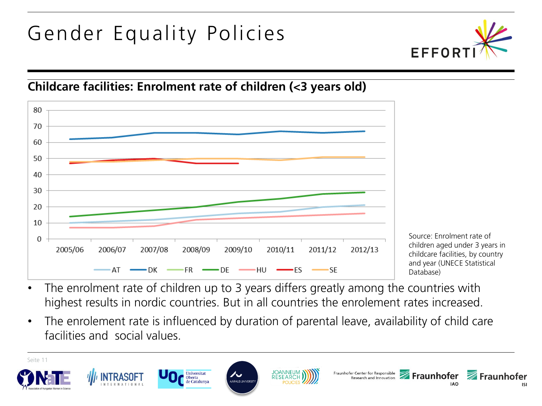

#### **Childcare facilities: Enrolment rate of children (<3 years old)**



Source: Enrolment rate of children aged under 3 years in childcare facilities, by country and year (UNECE Statistical Database)

- The enrolment rate of children up to 3 years differs greatly among the countries with highest results in nordic countries. But in all countries the enrolement rates increased.
- The enrolement rate is influenced by duration of parental leave, availability of child care facilities and social values.

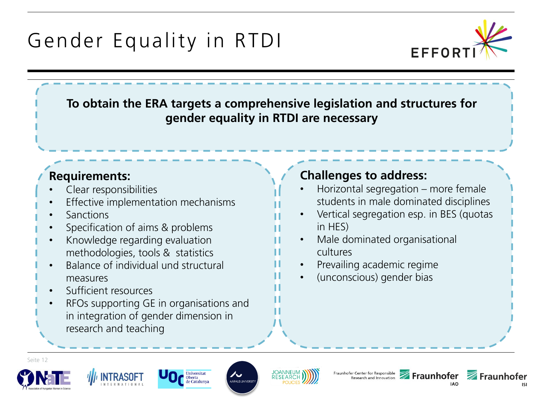

**To obtain the ERA targets a comprehensive legislation and structures for gender equality in RTDI are necessary**

#### **Requirements:**

- Clear responsibilities
- Effective implementation mechanisms
- Sanctions
- Specification of aims & problems
- Knowledge regarding evaluation methodologies, tools & statistics
- Balance of individual und structural measures
- Sufficient resources
- RFOs supporting GE in organisations and in integration of gender dimension in research and teaching

#### **Challenges to address:**

- Horizontal segregation more female students in male dominated disciplines
- Vertical segregation esp. in BES (quotas in HES)
- Male dominated organisational cultures
- Prevailing academic regime
- (unconscious) gender bias











**ARHUS UNIVERS** 



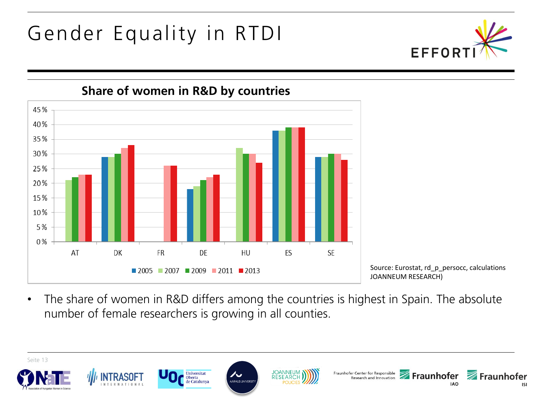



**Share of women in R&D by countries**

Source: Eurostat, rd\_p\_persocc, calculations JOANNEUM RESEARCH)

• The share of women in R&D differs among the countries is highest in Spain. The absolute number of female researchers is growing in all counties.

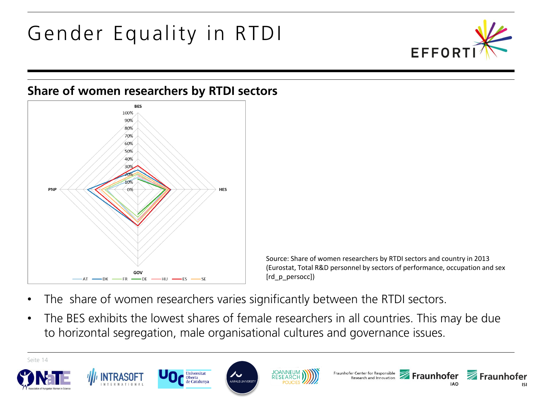

#### **Share of women researchers by RTDI sectors**



Source: Share of women researchers by RTDI sectors and country in 2013 (Eurostat, Total R&D personnel by sectors of performance, occupation and sex [rd p\_persocc])

- The share of women researchers varies significantly between the RTDI sectors.
- The BES exhibits the lowest shares of female researchers in all countries. This may be due to horizontal segregation, male organisational cultures and governance issues.

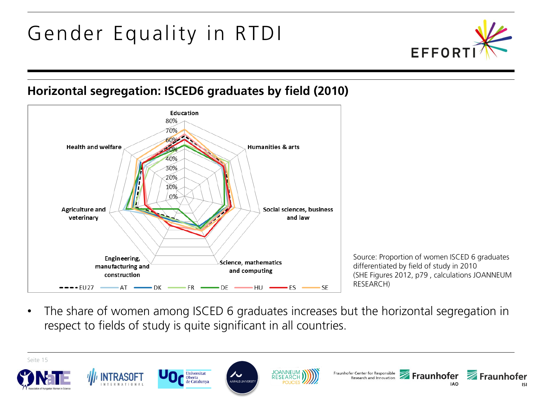

#### **Horizontal segregation: ISCED6 graduates by field (2010)**



- Source: Proportion of women ISCED 6 graduates differentiated by field of study in 2010 (SHE Figures 2012, p79 , calculations JOANNEUM
- The share of women among ISCED 6 graduates increases but the horizontal segregation in respect to fields of study is quite significant in all countries.

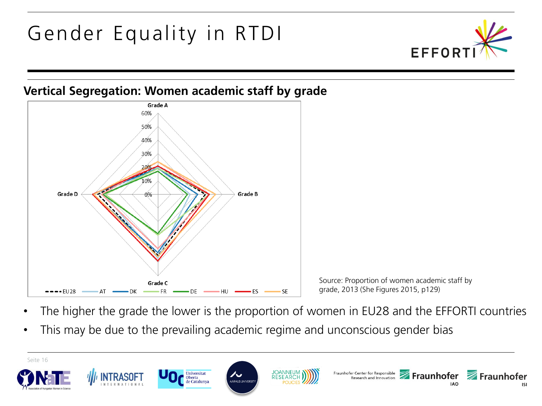





Source: Proportion of women academic staff by grade, 2013 (She Figures 2015, p129)

- The higher the grade the lower is the proportion of women in EU28 and the EFFORTI countries
- This may be due to the prevailing academic regime and unconscious gender bias

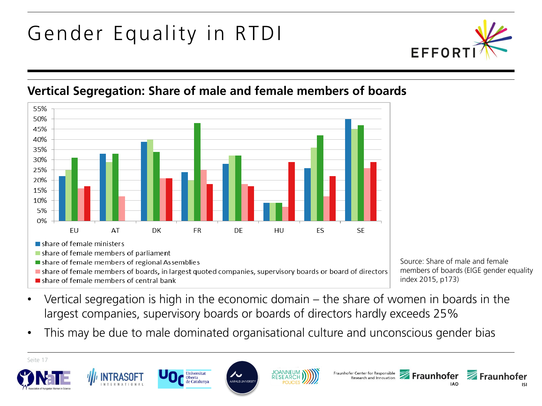

#### **Vertical Segregation: Share of male and female members of boards**



- In share of female members of boards, in largest quoted companies, supervisory boards or board of directors
- share of female members of central bank

Source: Share of male and female members of boards (EIGE gender equality index 2015, p173)

- Vertical segregation is high in the economic domain  $-$  the share of women in boards in the largest companies, supervisory boards or boards of directors hardly exceeds 25%
- This may be due to male dominated organisational culture and unconscious gender bias

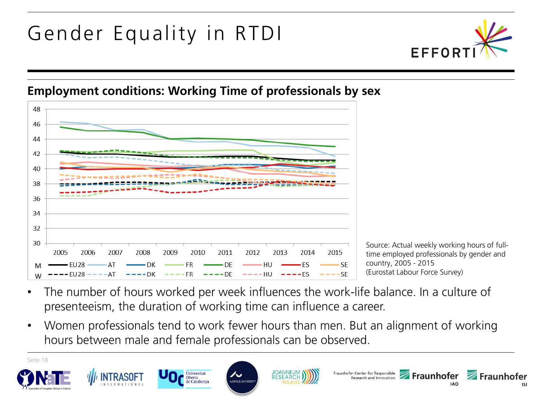

#### **Employment conditions: Working Time of professionals by sex**



- The number of hours worked per week influences the work-life balance. In a culture of presenteeism, the duration of working time can influence a career.
- Women professionals tend to work fewer hours than men. But an alignment of working hours between male and female professionals can be observed.

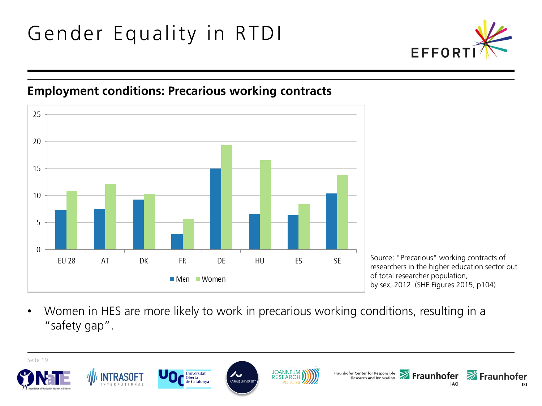

#### **Employment conditions: Precarious working contracts**



Source: "Precarious" working contracts of researchers in the higher education sector out of total researcher population, by sex, 2012 (SHE Figures 2015, p104)

• Women in HES are more likely to work in precarious working conditions, resulting in a "safety gap".

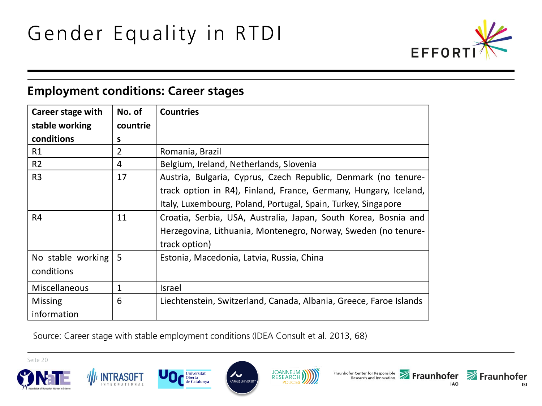

#### **Employment conditions: Career stages**

| Career stage with    | No. of   | <b>Countries</b>                                                   |
|----------------------|----------|--------------------------------------------------------------------|
| stable working       | countrie |                                                                    |
| conditions           | s        |                                                                    |
| R1                   | 2        | Romania, Brazil                                                    |
| R <sub>2</sub>       | 4        | Belgium, Ireland, Netherlands, Slovenia                            |
| R <sub>3</sub>       | 17       | Austria, Bulgaria, Cyprus, Czech Republic, Denmark (no tenure-     |
|                      |          | track option in R4), Finland, France, Germany, Hungary, Iceland,   |
|                      |          | Italy, Luxembourg, Poland, Portugal, Spain, Turkey, Singapore      |
| R <sub>4</sub>       | 11       | Croatia, Serbia, USA, Australia, Japan, South Korea, Bosnia and    |
|                      |          | Herzegovina, Lithuania, Montenegro, Norway, Sweden (no tenure-     |
|                      |          | track option)                                                      |
| No stable working    | 5        | Estonia, Macedonia, Latvia, Russia, China                          |
| conditions           |          |                                                                    |
| <b>Miscellaneous</b> | 1        | Israel                                                             |
| <b>Missing</b>       | 6        | Liechtenstein, Switzerland, Canada, Albania, Greece, Faroe Islands |
| information          |          |                                                                    |

Source: Career stage with stable employment conditions (IDEA Consult et al. 2013, 68)

Oberta













**ISI**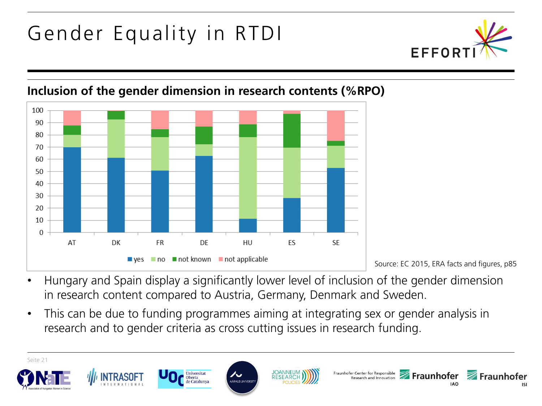



#### **Inclusion of the gender dimension in research contents (%RPO)**

Source: EC 2015, ERA facts and figures, p85

- Hungary and Spain display a significantly lower level of inclusion of the gender dimension in research content compared to Austria, Germany, Denmark and Sweden.
- This can be due to funding programmes aiming at integrating sex or gender analysis in research and to gender criteria as cross cutting issues in research funding.